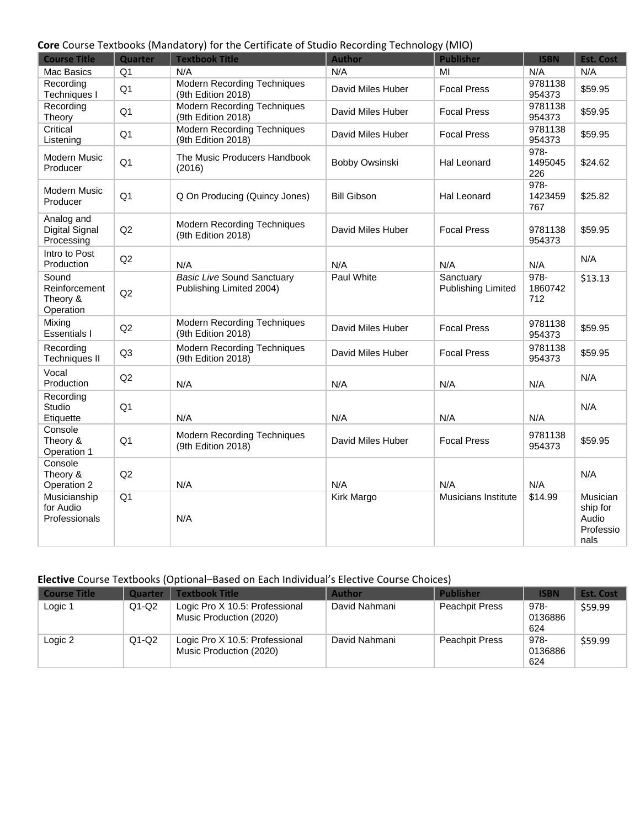## **Core** Course Textbooks (Mandatory) for the Certificate of Studio Recording Technology (MIO)

| <b>Course Title</b>                             | Quarter        | <b>Textbook Title</b>                                         | <b>Author</b>      | ,, ,<br><b>Publisher</b>               | <b>ISBN</b>               | <b>Est. Cost</b>                                   |
|-------------------------------------------------|----------------|---------------------------------------------------------------|--------------------|----------------------------------------|---------------------------|----------------------------------------------------|
| Mac Basics                                      | Q <sub>1</sub> | N/A                                                           | N/A                | MI                                     | N/A                       | N/A                                                |
| Recording<br><b>Techniques I</b>                | Q <sub>1</sub> | <b>Modern Recording Techniques</b><br>(9th Edition 2018)      | David Miles Huber  | <b>Focal Press</b>                     | 9781138<br>954373         | \$59.95                                            |
| Recording<br>Theory                             | Q <sub>1</sub> | <b>Modern Recording Techniques</b><br>(9th Edition 2018)      | David Miles Huber  | <b>Focal Press</b>                     | 9781138<br>954373         | \$59.95                                            |
| Critical<br>Listening                           | Q <sub>1</sub> | <b>Modern Recording Techniques</b><br>(9th Edition 2018)      | David Miles Huber  | <b>Focal Press</b>                     | 9781138<br>954373         | \$59.95                                            |
| <b>Modern Music</b><br>Producer                 | Q <sub>1</sub> | The Music Producers Handbook<br>(2016)                        | Bobby Owsinski     | Hal Leonard                            | 978-<br>1495045<br>226    | \$24.62                                            |
| Modern Music<br>Producer                        | Q <sub>1</sub> | Q On Producing (Quincy Jones)                                 | <b>Bill Gibson</b> | <b>Hal Leonard</b>                     | 978-<br>1423459<br>767    | \$25.82                                            |
| Analog and<br>Digital Signal<br>Processing      | Q2             | <b>Modern Recording Techniques</b><br>(9th Edition 2018)      | David Miles Huber  | <b>Focal Press</b>                     | 9781138<br>954373         | \$59.95                                            |
| Intro to Post<br>Production                     | Q2             | N/A                                                           | N/A                | N/A                                    | N/A                       | N/A                                                |
| Sound<br>Reinforcement<br>Theory &<br>Operation | Q2             | <b>Basic Live Sound Sanctuary</b><br>Publishing Limited 2004) | Paul White         | Sanctuary<br><b>Publishing Limited</b> | $978 -$<br>1860742<br>712 | \$13.13                                            |
| Mixing<br><b>Essentials I</b>                   | Q2             | <b>Modern Recording Techniques</b><br>(9th Edition 2018)      | David Miles Huber  | <b>Focal Press</b>                     | 9781138<br>954373         | \$59.95                                            |
| Recording<br><b>Techniques II</b>               | Q <sub>3</sub> | <b>Modern Recording Techniques</b><br>(9th Edition 2018)      | David Miles Huber  | <b>Focal Press</b>                     | 9781138<br>954373         | \$59.95                                            |
| Vocal<br>Production                             | Q2             | N/A                                                           | N/A                | N/A                                    | N/A                       | N/A                                                |
| Recording<br>Studio<br>Etiquette                | Q <sub>1</sub> | N/A                                                           | N/A                | N/A                                    | N/A                       | N/A                                                |
| Console<br>Theory &<br>Operation 1              | Q <sub>1</sub> | <b>Modern Recording Techniques</b><br>(9th Edition 2018)      | David Miles Huber  | <b>Focal Press</b>                     | 9781138<br>954373         | \$59.95                                            |
| Console<br>Theory &<br>Operation 2              | Q2             | N/A                                                           | N/A                | N/A                                    | N/A                       | N/A                                                |
| Musicianship<br>for Audio<br>Professionals      | Q <sub>1</sub> | N/A                                                           | <b>Kirk Margo</b>  | Musicians Institute                    | \$14.99                   | Musician<br>ship for<br>Audio<br>Professio<br>nals |

## **Elective** Course Textbooks (Optional–Based on Each Individual's Elective Course Choices)

| <b>Course Title</b> | Quarter | <b>Textbook Title</b>                                     | <b>Author</b> | <b>Publisher</b>      | <b>ISBN</b>            | <b>Est. Cost</b> |
|---------------------|---------|-----------------------------------------------------------|---------------|-----------------------|------------------------|------------------|
| Logic 1             | $Q1-Q2$ | Logic Pro X 10.5: Professional<br>Music Production (2020) | David Nahmani | <b>Peachpit Press</b> | 978-<br>0136886<br>624 | \$59.99          |
| Logic 2             | $Q1-Q2$ | Logic Pro X 10.5: Professional<br>Music Production (2020) | David Nahmani | <b>Peachpit Press</b> | 978-<br>0136886<br>624 | \$59.99          |